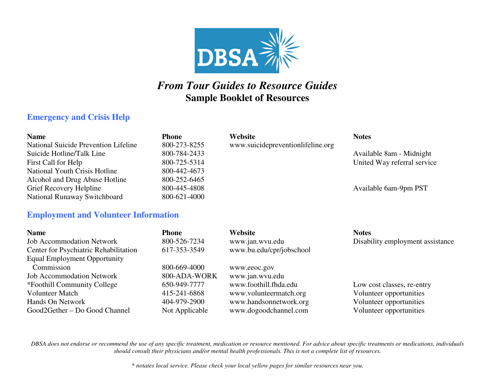

# *From Tour Guides to Resource Guides* **Sample Booklet of Resources**

## **Emergency and Crisis Help**

| <b>Name</b>                          | <b>Phone</b> | Website                           | <b>Notes</b>                |
|--------------------------------------|--------------|-----------------------------------|-----------------------------|
| National Suicide Prevention Lifeline | 800-273-8255 | www.suicidepreventionlifeline.org |                             |
| Suicide Hotline/Talk Line            | 800-784-2433 |                                   | Available 8am - Midnight    |
| First Call for Help                  | 800-725-5314 |                                   | United Way referral service |
| National Youth Crisis Hotline        | 800-442-4673 |                                   |                             |
| Alcohol and Drug Abuse Hotline       | 800-252-6465 |                                   |                             |
| Grief Recovery Helpline              | 800-445-4808 |                                   | Available 6am-9pm PST       |
| National Runaway Switchboard         | 800-621-4000 |                                   |                             |

#### **Employment and Volunteer Information**

| <b>Name</b>                                  | <b>Phone</b>   | Website                  | <b>Notes</b>                     |
|----------------------------------------------|----------------|--------------------------|----------------------------------|
| <b>Job Accommodation Network</b>             | 800-526-7234   | www.jan.wvu.edu          | Disability employment assistance |
| <b>Center for Psychiatric Rehabilitation</b> | 617-353-3549   | www.bu.edu/cpr/jobschool |                                  |
| <b>Equal Employment Opportunity</b>          |                |                          |                                  |
| Commission                                   | 800-669-4000   | www.eeoc.gov             |                                  |
| <b>Job Accommodation Network</b>             | 800-ADA-WORK   | www.jan.wvu.edu          |                                  |
| *Foothill Community College                  | 650-949-7777   | www.foothill.fhda.edu    | Low cost classes, re-entry       |
| <b>Volunteer Match</b>                       | 415-241-6868   | www.volunteermatch.org   | Volunteer opportunities          |
| Hands On Network                             | 404-979-2900   | www.handsonnetwork.org   | Volunteer opportunities          |
| Good2Gether – Do Good Channel                | Not Applicable | www.dogoodchannel.com    | Volunteer opportunities          |

*DBSA does not endorse or recommend the use of any specific treatment, medication or resource mentioned. For advice about specific treatments or medications, individuals should consult their physicians and/or mental health professionals. This is not a complete list of resources.* 

*\* notates local service. Please check your local yellow pages for similar resources near you.*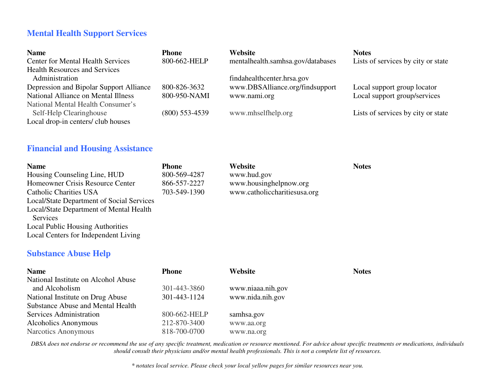## **Mental Health Support Services**

| <b>Name</b>                              | <b>Phone</b>     | Website                           | <b>Notes</b>                       |
|------------------------------------------|------------------|-----------------------------------|------------------------------------|
| <b>Center for Mental Health Services</b> | 800-662-HELP     | mentalhealth.samhsa.gov/databases | Lists of services by city or state |
| <b>Health Resources and Services</b>     |                  |                                   |                                    |
| Administration                           |                  | findahealthcenter.hrsa.gov        |                                    |
| Depression and Bipolar Support Alliance  | 800-826-3632     | www.DBSAlliance.org/findsupport   | Local support group locator        |
| National Alliance on Mental Illness      | 800-950-NAMI     | www.nami.org                      | Local support group/services       |
| National Mental Health Consumer's        |                  |                                   |                                    |
| Self-Help Clearinghouse                  | $(800)$ 553-4539 | www.mhselfhelp.org                | Lists of services by city or state |
| Local drop-in centers/ club houses       |                  |                                   |                                    |

#### **Financial and Housing Assistance**

| <b>Name</b>                               | <b>Phone</b> | Website                      | <b>Notes</b> |
|-------------------------------------------|--------------|------------------------------|--------------|
| Housing Counseling Line, HUD              | 800-569-4287 | www.hud.gov                  |              |
| Homeowner Crisis Resource Center          | 866-557-2227 | www.housinghelpnow.org       |              |
| <b>Catholic Charities USA</b>             | 703-549-1390 | www.catholiccharitiesusa.org |              |
| Local/State Department of Social Services |              |                              |              |
| Local/State Department of Mental Health   |              |                              |              |
| Services                                  |              |                              |              |
| <b>Local Public Housing Authorities</b>   |              |                              |              |
| Local Centers for Independent Living      |              |                              |              |

### **Substance Abuse Help**

| <b>Name</b>                              | <b>Phone</b> | Website           | <b>Notes</b> |
|------------------------------------------|--------------|-------------------|--------------|
| National Institute on Alcohol Abuse      |              |                   |              |
| and Alcoholism                           | 301-443-3860 | www.niaaa.nih.gov |              |
| National Institute on Drug Abuse         | 301-443-1124 | www.nida.nih.gov  |              |
| <b>Substance Abuse and Mental Health</b> |              |                   |              |
| Services Administration                  | 800-662-HELP | samhsa.gov        |              |
| Alcoholics Anonymous                     | 212-870-3400 | www.aa.org        |              |
| Narcotics Anonymous                      | 818-700-0700 | www.na.org        |              |

*DBSA does not endorse or recommend the use of any specific treatment, medication or resource mentioned. For advice about specific treatments or medications, individuals should consult their physicians and/or mental health professionals. This is not a complete list of resources.*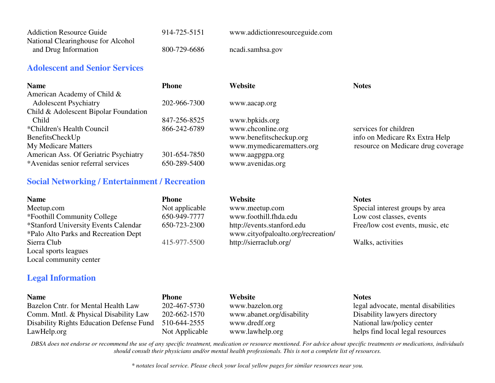| <b>Addiction Resource Guide</b>    | 914-725-5151 | www.addictionresourceguide.com |
|------------------------------------|--------------|--------------------------------|
| National Clearinghouse for Alcohol |              |                                |
| and Drug Information               | 800-729-6686 | ncadi.samhsa.gov               |

#### **Adolescent and Senior Services**

| <b>Name</b>                           | Phone        | Website                   | <b>Notes</b>                       |
|---------------------------------------|--------------|---------------------------|------------------------------------|
| American Academy of Child &           |              |                           |                                    |
| <b>Adolescent Psychiatry</b>          | 202-966-7300 | www.aacap.org             |                                    |
| Child & Adolescent Bipolar Foundation |              |                           |                                    |
| Child                                 | 847-256-8525 | www.bpkids.org            |                                    |
| *Children's Health Council            | 866-242-6789 | www.chconline.org         | services for children              |
| BenefitsCheckUp                       |              | www.benefitscheckup.org   | info on Medicare Rx Extra Help     |
| <b>My Medicare Matters</b>            |              | www.mymedicarematters.org | resource on Medicare drug coverage |
| American Ass. Of Geriatric Psychiatry | 301-654-7850 | www.aagpgpa.org           |                                    |
| *Avenidas senior referral services    | 650-289-5400 | www.avenidas.org          |                                    |

#### **Social Networking / Entertainment / Recreation**

| <b>Name</b>                          | <b>Phone</b>   | Website                            | <b>Notes</b>                      |
|--------------------------------------|----------------|------------------------------------|-----------------------------------|
| Meetup.com                           | Not applicable | www.meetup.com                     | Special interest groups by area   |
| *Foothill Community College          | 650-949-7777   | www.foothill.fhda.edu              | Low cost classes, events          |
| *Stanford University Events Calendar | 650-723-2300   | http://events.stanford.edu         | Free/low cost events, music, etc. |
| *Palo Alto Parks and Recreation Dept |                | www.cityofpaloalto.org/recreation/ |                                   |
| Sierra Club                          | 415-977-5500   | http://sierraclub.org/             | Walks, activities                 |
| Local sports leagues                 |                |                                    |                                   |
| Local community center               |                |                                    |                                   |

## **Legal Information**

| <b>Name</b>                              | Phone          | <b>Website</b>            | <b>Notes</b>                        |
|------------------------------------------|----------------|---------------------------|-------------------------------------|
| Bazelon Cntr. for Mental Health Law      | 202-467-5730   | www.bazelon.org           | legal advocate, mental disabilities |
| Comm. Mntl. & Physical Disability Law    | 202-662-1570   | www.abanet.org/disability | Disability lawyers directory        |
| Disability Rights Education Defense Fund | 510-644-2555   | www.dredf.org             | National law/policy center          |
| LawHelp.org                              | Not Applicable | www.lawhelp.org           | helps find local legal resources    |

*DBSA does not endorse or recommend the use of any specific treatment, medication or resource mentioned. For advice about specific treatments or medications, individuals should consult their physicians and/or mental health professionals. This is not a complete list of resources.* 

*\* notates local service. Please check your local yellow pages for similar resources near you.*